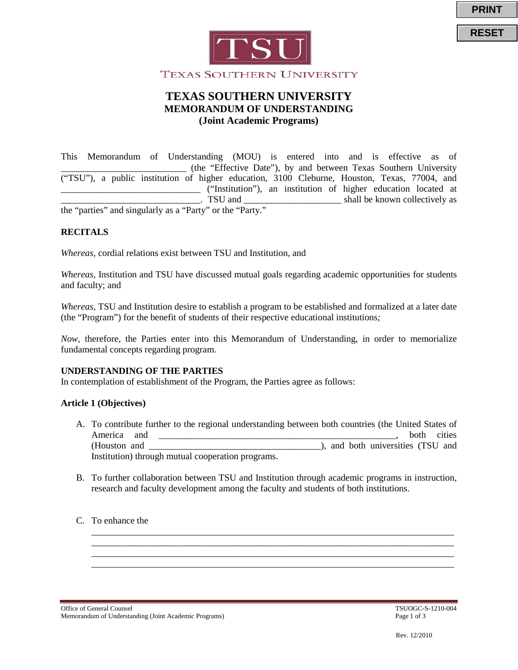



# **TEXAS SOUTHERN UNIVERSITY MEMORANDUM OF UNDERSTANDING (Joint Academic Programs)**

This Memorandum of Understanding (MOU) is entered into and is effective as of \_\_\_\_\_\_\_\_\_\_\_\_\_\_\_\_\_\_\_\_\_\_\_\_\_\_\_ (the "Effective Date"), by and between Texas Southern University ("TSU"), a public institution of higher education, 3100 Cleburne, Houston, Texas, 77004, and \_\_\_\_\_\_\_\_\_\_\_\_\_\_\_\_\_\_\_\_\_\_\_\_\_\_\_\_\_\_ ("Institution"), an institution of higher education located at \_\_\_\_\_\_\_\_\_\_\_\_\_\_\_\_\_\_\_\_\_\_\_\_\_\_\_\_\_\_. TSU and \_\_\_\_\_\_\_\_\_\_\_\_\_\_\_\_\_\_\_\_\_ shall be known collectively as

the "parties" and singularly as a "Party" or the "Party."

#### **RECITALS**

*Whereas,* cordial relations exist between TSU and Institution, and

*Whereas,* Institution and TSU have discussed mutual goals regarding academic opportunities for students and faculty; and

*Whereas,* TSU and Institution desire to establish a program to be established and formalized at a later date (the "Program") for the benefit of students of their respective educational institutions*;* 

*Now,* therefore, the Parties enter into this Memorandum of Understanding, in order to memorialize fundamental concepts regarding program.

#### **UNDERSTANDING OF THE PARTIES**

In contemplation of establishment of the Program, the Parties agree as follows:

## **Article 1 (Objectives)**

- A. To contribute further to the regional understanding between both countries (the United States of America and \_\_\_\_\_\_\_\_\_\_\_\_\_\_\_\_\_\_\_\_\_\_\_\_\_\_\_\_\_\_\_\_\_\_\_\_\_\_\_\_\_\_\_\_\_\_\_\_\_\_\_, both cities (Houston and \_\_\_\_\_\_\_\_\_\_\_\_\_\_\_\_\_\_\_\_\_\_\_\_\_\_\_\_\_\_\_\_\_\_\_\_\_), and both universities (TSU and Institution) through mutual cooperation programs.
- B. To further collaboration between TSU and Institution through academic programs in instruction, research and faculty development among the faculty and students of both institutions.

\_\_\_\_\_\_\_\_\_\_\_\_\_\_\_\_\_\_\_\_\_\_\_\_\_\_\_\_\_\_\_\_\_\_\_\_\_\_\_\_\_\_\_\_\_\_\_\_\_\_\_\_\_\_\_\_\_\_\_\_\_\_\_\_\_\_\_\_\_\_\_\_\_\_\_\_\_\_ \_\_\_\_\_\_\_\_\_\_\_\_\_\_\_\_\_\_\_\_\_\_\_\_\_\_\_\_\_\_\_\_\_\_\_\_\_\_\_\_\_\_\_\_\_\_\_\_\_\_\_\_\_\_\_\_\_\_\_\_\_\_\_\_\_\_\_\_\_\_\_\_\_\_\_\_\_\_ \_\_\_\_\_\_\_\_\_\_\_\_\_\_\_\_\_\_\_\_\_\_\_\_\_\_\_\_\_\_\_\_\_\_\_\_\_\_\_\_\_\_\_\_\_\_\_\_\_\_\_\_\_\_\_\_\_\_\_\_\_\_\_\_\_\_\_\_\_\_\_\_\_\_\_\_\_\_ \_\_\_\_\_\_\_\_\_\_\_\_\_\_\_\_\_\_\_\_\_\_\_\_\_\_\_\_\_\_\_\_\_\_\_\_\_\_\_\_\_\_\_\_\_\_\_\_\_\_\_\_\_\_\_\_\_\_\_\_\_\_\_\_\_\_\_\_\_\_\_\_\_\_\_\_\_\_

#### C. To enhance the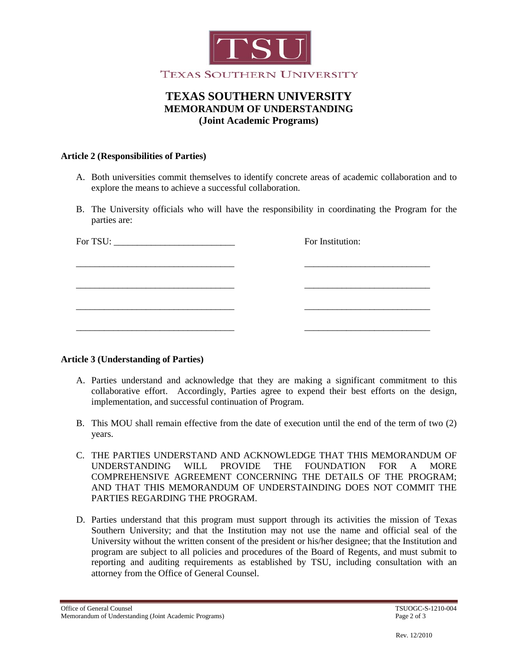

# **TEXAS SOUTHERN UNIVERSITY MEMORANDUM OF UNDERSTANDING (Joint Academic Programs)**

## **Article 2 (Responsibilities of Parties)**

- A. Both universities commit themselves to identify concrete areas of academic collaboration and to explore the means to achieve a successful collaboration.
- B. The University officials who will have the responsibility in coordinating the Program for the parties are:

| For TSU: $\_\_$ | For Institution: |
|-----------------|------------------|
|                 |                  |
|                 |                  |
|                 |                  |
|                 |                  |
|                 |                  |

## **Article 3 (Understanding of Parties)**

- A. Parties understand and acknowledge that they are making a significant commitment to this collaborative effort. Accordingly, Parties agree to expend their best efforts on the design, implementation, and successful continuation of Program.
- B. This MOU shall remain effective from the date of execution until the end of the term of two (2) years.
- C. THE PARTIES UNDERSTAND AND ACKNOWLEDGE THAT THIS MEMORANDUM OF UNDERSTANDING WILL PROVIDE THE FOUNDATION FOR A MORE COMPREHENSIVE AGREEMENT CONCERNING THE DETAILS OF THE PROGRAM; AND THAT THIS MEMORANDUM OF UNDERSTAINDING DOES NOT COMMIT THE PARTIES REGARDING THE PROGRAM.
- D. Parties understand that this program must support through its activities the mission of Texas Southern University; and that the Institution may not use the name and official seal of the University without the written consent of the president or his/her designee; that the Institution and program are subject to all policies and procedures of the Board of Regents, and must submit to reporting and auditing requirements as established by TSU, including consultation with an attorney from the Office of General Counsel.